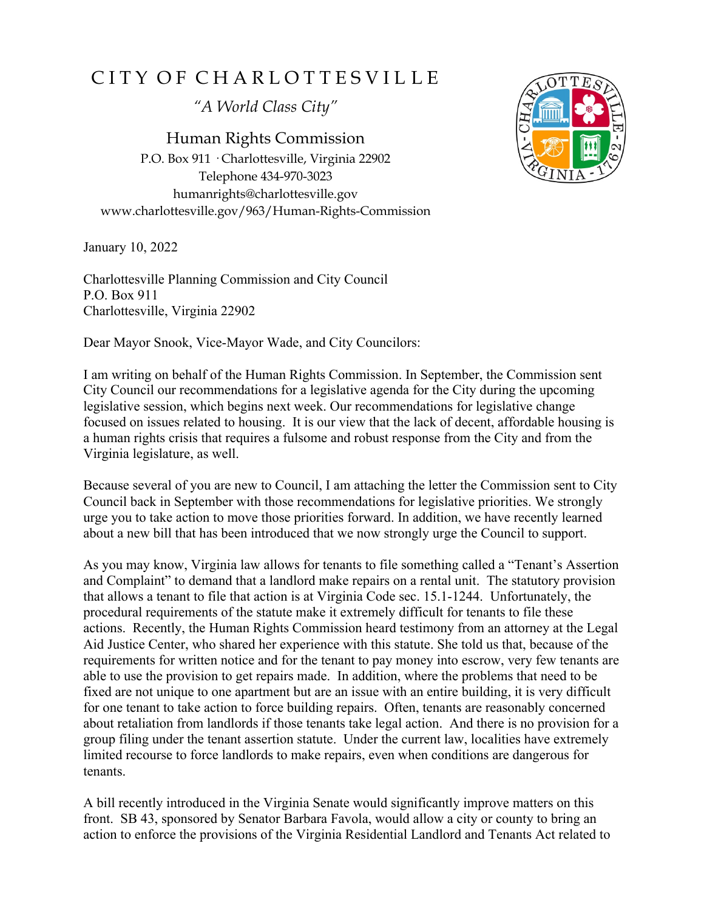## C I T Y O F C H A R L O T T E S V I L L E

*"A World Class City"*

Human Rights Commission P.O. Box 911 · Charlottesville, Virginia 22902 Telephone 434-970-3023 humanrights@charlottesville.gov www.charlottesville.gov/963/Human-Rights-Commission

January 10, 2022

Charlottesville Planning Commission and City Council P.O. Box 911 Charlottesville, Virginia 22902

Dear Mayor Snook, Vice-Mayor Wade, and City Councilors:

I am writing on behalf of the Human Rights Commission. In September, the Commission sent City Council our recommendations for a legislative agenda for the City during the upcoming legislative session, which begins next week. Our recommendations for legislative change focused on issues related to housing. It is our view that the lack of decent, affordable housing is a human rights crisis that requires a fulsome and robust response from the City and from the Virginia legislature, as well.

Because several of you are new to Council, I am attaching the letter the Commission sent to City Council back in September with those recommendations for legislative priorities. We strongly urge you to take action to move those priorities forward. In addition, we have recently learned about a new bill that has been introduced that we now strongly urge the Council to support.

As you may know, Virginia law allows for tenants to file something called a "Tenant's Assertion and Complaint" to demand that a landlord make repairs on a rental unit. The statutory provision that allows a tenant to file that action is at Virginia Code sec. 15.1-1244. Unfortunately, the procedural requirements of the statute make it extremely difficult for tenants to file these actions. Recently, the Human Rights Commission heard testimony from an attorney at the Legal Aid Justice Center, who shared her experience with this statute. She told us that, because of the requirements for written notice and for the tenant to pay money into escrow, very few tenants are able to use the provision to get repairs made. In addition, where the problems that need to be fixed are not unique to one apartment but are an issue with an entire building, it is very difficult for one tenant to take action to force building repairs. Often, tenants are reasonably concerned about retaliation from landlords if those tenants take legal action. And there is no provision for a group filing under the tenant assertion statute. Under the current law, localities have extremely limited recourse to force landlords to make repairs, even when conditions are dangerous for tenants.

A bill recently introduced in the Virginia Senate would significantly improve matters on this front. SB 43, sponsored by Senator Barbara Favola, would allow a city or county to bring an action to enforce the provisions of the Virginia Residential Landlord and Tenants Act related to